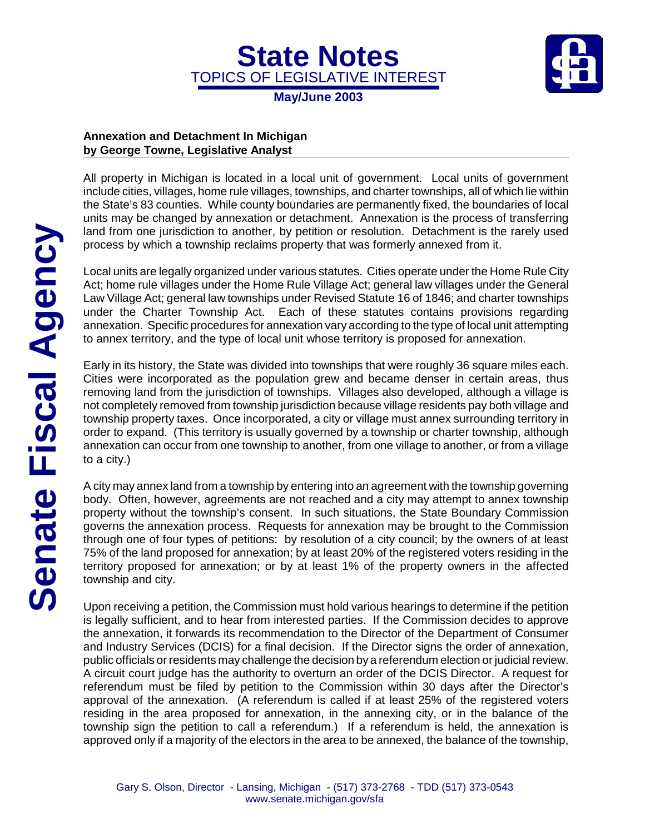TOPICS OF LEGISLATIVE INTEREST **May/June 2003**

**State Notes**



## **Annexation and Detachment In Michigan by George Towne, Legislative Analyst**

All property in Michigan is located in a local unit of government. Local units of government include cities, villages, home rule villages, townships, and charter townships, all of which lie within the State's 83 counties. While county boundaries are permanently fixed, the boundaries of local units may be changed by annexation or detachment. Annexation is the process of transferring land from one jurisdiction to another, by petition or resolution. Detachment is the rarely used process by which a township reclaims property that was formerly annexed from it.

Local units are legally organized under various statutes. Cities operate under the Home Rule City Act; home rule villages under the Home Rule Village Act; general law villages under the General Law Village Act; general law townships under Revised Statute 16 of 1846; and charter townships under the Charter Township Act. Each of these statutes contains provisions regarding annexation. Specific procedures for annexation vary according to the type of local unit attempting to annex territory, and the type of local unit whose territory is proposed for annexation.

Early in its history, the State was divided into townships that were roughly 36 square miles each. Cities were incorporated as the population grew and became denser in certain areas, thus removing land from the jurisdiction of townships. Villages also developed, although a village is not completely removed from township jurisdiction because village residents pay both village and township property taxes. Once incorporated, a city or village must annex surrounding territory in order to expand. (This territory is usually governed by a township or charter township, although annexation can occur from one township to another, from one village to another, or from a village to a city.)

A city may annex land from a township by entering into an agreement with the township governing body. Often, however, agreements are not reached and a city may attempt to annex township property without the township's consent. In such situations, the State Boundary Commission governs the annexation process. Requests for annexation may be brought to the Commission through one of four types of petitions: by resolution of a city council; by the owners of at least 75% of the land proposed for annexation; by at least 20% of the registered voters residing in the territory proposed for annexation; or by at least 1% of the property owners in the affected township and city.

Upon receiving a petition, the Commission must hold various hearings to determine if the petition is legally sufficient, and to hear from interested parties. If the Commission decides to approve the annexation, it forwards its recommendation to the Director of the Department of Consumer and Industry Services (DCIS) for a final decision. If the Director signs the order of annexation, public officials or residents may challenge the decision by a referendum election or judicial review. A circuit court judge has the authority to overturn an order of the DCIS Director. A request for referendum must be filed by petition to the Commission within 30 days after the Director's approval of the annexation. (A referendum is called if at least 25% of the registered voters residing in the area proposed for annexation, in the annexing city, or in the balance of the township sign the petition to call a referendum.) If a referendum is held, the annexation is approved only if a majority of the electors in the area to be annexed, the balance of the township,